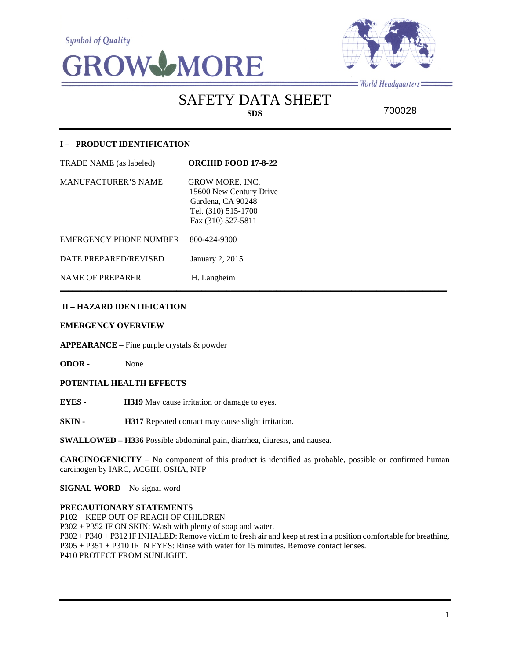**Symbol of Quality** 





 $=$  World Headquarters $=$ 

SAFETY DATA SHEET **SDS**

700028

# **I – PRODUCT IDENTIFICATION**

| TRADE NAME (as labeled)       | <b>ORCHID FOOD 17-8-22</b>                                                                                          |
|-------------------------------|---------------------------------------------------------------------------------------------------------------------|
| <b>MANUFACTURER'S NAME</b>    | <b>GROW MORE, INC.</b><br>15600 New Century Drive<br>Gardena, CA 90248<br>Tel. (310) 515-1700<br>Fax (310) 527-5811 |
| <b>EMERGENCY PHONE NUMBER</b> | 800-424-9300                                                                                                        |
| DATE PREPARED/REVISED         | January 2, 2015                                                                                                     |
| <b>NAME OF PREPARER</b>       | H. Langheim                                                                                                         |

# **II – HAZARD IDENTIFICATION**

#### **EMERGENCY OVERVIEW**

**APPEARANCE** – Fine purple crystals & powder

**ODOR** - None

## **POTENTIAL HEALTH EFFECTS**

**EYES - H319** May cause irritation or damage to eyes.

**SKIN - H317** Repeated contact may cause slight irritation.

**SWALLOWED – H336** Possible abdominal pain, diarrhea, diuresis, and nausea.

**CARCINOGENICITY** – No component of this product is identified as probable, possible or confirmed human carcinogen by IARC, ACGIH, OSHA, NTP

 $\mathcal{L}_\mathcal{L} = \mathcal{L}_\mathcal{L} = \mathcal{L}_\mathcal{L} = \mathcal{L}_\mathcal{L} = \mathcal{L}_\mathcal{L} = \mathcal{L}_\mathcal{L} = \mathcal{L}_\mathcal{L} = \mathcal{L}_\mathcal{L} = \mathcal{L}_\mathcal{L} = \mathcal{L}_\mathcal{L} = \mathcal{L}_\mathcal{L} = \mathcal{L}_\mathcal{L} = \mathcal{L}_\mathcal{L} = \mathcal{L}_\mathcal{L} = \mathcal{L}_\mathcal{L} = \mathcal{L}_\mathcal{L} = \mathcal{L}_\mathcal{L}$ 

**SIGNAL WORD** – No signal word

#### **PRECAUTIONARY STATEMENTS**

P102 – KEEP OUT OF REACH OF CHILDREN P302 + P352 IF ON SKIN: Wash with plenty of soap and water. P302 + P340 + P312 IF INHALED: Remove victim to fresh air and keep at rest in a position comfortable for breathing. P305 + P351 + P310 IF IN EYES: Rinse with water for 15 minutes. Remove contact lenses. P410 PROTECT FROM SUNLIGHT.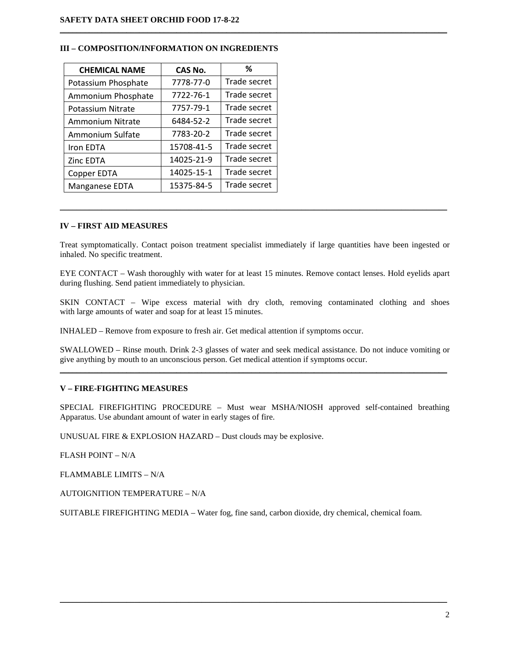| <b>CHEMICAL NAME</b> | <b>CAS No.</b> | ℅            |
|----------------------|----------------|--------------|
| Potassium Phosphate  | 7778-77-0      | Trade secret |
| Ammonium Phosphate   | 7722-76-1      | Trade secret |
| Potassium Nitrate    | 7757-79-1      | Trade secret |
| Ammonium Nitrate     | 6484-52-2      | Trade secret |
| Ammonium Sulfate     | 7783-20-2      | Trade secret |
| Iron EDTA            | 15708-41-5     | Trade secret |
| Zinc EDTA            | 14025-21-9     | Trade secret |
| Copper EDTA          | 14025-15-1     | Trade secret |
| Manganese EDTA       | 15375-84-5     | Trade secret |

#### **III – COMPOSITION/INFORMATION ON INGREDIENTS**

#### **IV – FIRST AID MEASURES**

Treat symptomatically. Contact poison treatment specialist immediately if large quantities have been ingested or inhaled. No specific treatment.

 $\mathcal{L}_\mathcal{L} = \{ \mathcal{L}_\mathcal{L} = \{ \mathcal{L}_\mathcal{L} = \{ \mathcal{L}_\mathcal{L} = \{ \mathcal{L}_\mathcal{L} = \{ \mathcal{L}_\mathcal{L} = \{ \mathcal{L}_\mathcal{L} = \{ \mathcal{L}_\mathcal{L} = \{ \mathcal{L}_\mathcal{L} = \{ \mathcal{L}_\mathcal{L} = \{ \mathcal{L}_\mathcal{L} = \{ \mathcal{L}_\mathcal{L} = \{ \mathcal{L}_\mathcal{L} = \{ \mathcal{L}_\mathcal{L} = \{ \mathcal{L}_\mathcal{$ 

 $\mathcal{L}_\mathcal{L} = \{ \mathcal{L}_\mathcal{L} = \{ \mathcal{L}_\mathcal{L} = \{ \mathcal{L}_\mathcal{L} = \{ \mathcal{L}_\mathcal{L} = \{ \mathcal{L}_\mathcal{L} = \{ \mathcal{L}_\mathcal{L} = \{ \mathcal{L}_\mathcal{L} = \{ \mathcal{L}_\mathcal{L} = \{ \mathcal{L}_\mathcal{L} = \{ \mathcal{L}_\mathcal{L} = \{ \mathcal{L}_\mathcal{L} = \{ \mathcal{L}_\mathcal{L} = \{ \mathcal{L}_\mathcal{L} = \{ \mathcal{L}_\mathcal{$ 

EYE CONTACT – Wash thoroughly with water for at least 15 minutes. Remove contact lenses. Hold eyelids apart during flushing. Send patient immediately to physician.

SKIN CONTACT – Wipe excess material with dry cloth, removing contaminated clothing and shoes with large amounts of water and soap for at least 15 minutes.

INHALED – Remove from exposure to fresh air. Get medical attention if symptoms occur.

SWALLOWED – Rinse mouth. Drink 2-3 glasses of water and seek medical assistance. Do not induce vomiting or give anything by mouth to an unconscious person. Get medical attention if symptoms occur. \_\_\_\_\_\_\_\_\_\_\_\_\_\_\_\_\_\_\_\_\_\_\_\_\_\_\_\_\_\_\_\_\_\_\_\_\_\_\_\_\_\_\_\_\_\_\_\_\_\_\_\_\_\_\_\_\_\_\_\_\_\_\_\_\_\_\_\_\_\_\_\_\_\_\_\_\_\_\_\_\_\_\_\_\_\_\_\_\_\_\_\_\_

## **V – FIRE-FIGHTING MEASURES**

SPECIAL FIREFIGHTING PROCEDURE – Must wear MSHA/NIOSH approved self-contained breathing Apparatus. Use abundant amount of water in early stages of fire.

UNUSUAL FIRE & EXPLOSION HAZARD – Dust clouds may be explosive.

FLASH POINT – N/A

FLAMMABLE LIMITS – N/A

AUTOIGNITION TEMPERATURE – N/A

SUITABLE FIREFIGHTING MEDIA – Water fog, fine sand, carbon dioxide, dry chemical, chemical foam.

\_\_\_\_\_\_\_\_\_\_\_\_\_\_\_\_\_\_\_\_\_\_\_\_\_\_\_\_\_\_\_\_\_\_\_\_\_\_\_\_\_\_\_\_\_\_\_\_\_\_\_\_\_\_\_\_\_\_\_\_\_\_\_\_\_\_\_\_\_\_\_\_\_\_\_\_\_\_\_\_\_\_\_\_\_\_\_\_\_\_\_\_\_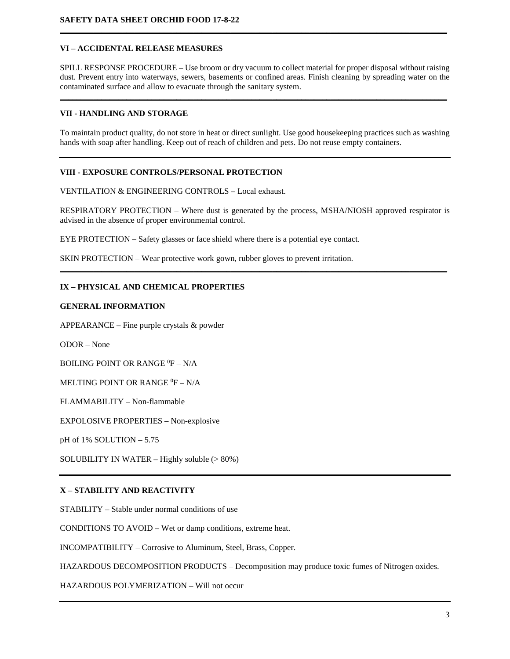# **VI – ACCIDENTAL RELEASE MEASURES**

SPILL RESPONSE PROCEDURE – Use broom or dry vacuum to collect material for proper disposal without raising dust. Prevent entry into waterways, sewers, basements or confined areas. Finish cleaning by spreading water on the contaminated surface and allow to evacuate through the sanitary system.

\_\_\_\_\_\_\_\_\_\_\_\_\_\_\_\_\_\_\_\_\_\_\_\_\_\_\_\_\_\_\_\_\_\_\_\_\_\_\_\_\_\_\_\_\_\_\_\_\_\_\_\_\_\_\_\_\_\_\_\_\_\_\_\_\_\_\_\_\_\_\_\_\_\_\_\_\_\_\_\_\_\_\_\_\_\_\_\_\_\_\_\_\_

**\_\_\_\_\_\_\_\_\_\_\_\_\_\_\_\_\_\_\_\_\_\_\_\_\_\_\_\_\_\_\_\_\_\_\_\_\_\_\_\_\_\_\_\_\_\_\_\_\_\_\_\_\_\_\_\_\_\_\_\_\_\_\_\_\_\_\_\_\_\_\_\_\_\_\_\_\_\_\_\_\_\_\_\_\_\_\_\_\_\_\_\_\_**

#### **VII - HANDLING AND STORAGE**

To maintain product quality, do not store in heat or direct sunlight. Use good housekeeping practices such as washing hands with soap after handling. Keep out of reach of children and pets. Do not reuse empty containers.

## **VIII - EXPOSURE CONTROLS/PERSONAL PROTECTION**

VENTILATION & ENGINEERING CONTROLS – Local exhaust.

RESPIRATORY PROTECTION – Where dust is generated by the process, MSHA/NIOSH approved respirator is advised in the absence of proper environmental control.

**\_\_\_\_\_\_\_\_\_\_\_\_\_\_\_\_\_\_\_\_\_\_\_\_\_\_\_\_\_\_\_\_\_\_\_\_\_\_\_\_\_\_\_\_\_\_\_\_\_\_\_\_\_\_\_\_\_\_\_\_\_\_\_\_\_\_\_\_\_\_\_\_\_\_\_\_\_\_\_\_\_\_\_\_\_\_\_\_\_\_\_\_\_**

EYE PROTECTION – Safety glasses or face shield where there is a potential eye contact.

SKIN PROTECTION – Wear protective work gown, rubber gloves to prevent irritation.

## **IX – PHYSICAL AND CHEMICAL PROPERTIES**

## **GENERAL INFORMATION**

APPEARANCE – Fine purple crystals & powder

ODOR – None

BOILING POINT OR RANGE  $^0\text{F}$  – N/A

MELTING POINT OR RANGE  ${}^{0}\text{F} - \text{N/A}$ 

FLAMMABILITY – Non-flammable

EXPOLOSIVE PROPERTIES – Non-explosive

pH of 1% SOLUTION – 5.75

SOLUBILITY IN WATER – Highly soluble  $(>80\%)$ 

## **X – STABILITY AND REACTIVITY**

STABILITY – Stable under normal conditions of use

CONDITIONS TO AVOID – Wet or damp conditions, extreme heat.

INCOMPATIBILITY – Corrosive to Aluminum, Steel, Brass, Copper.

HAZARDOUS DECOMPOSITION PRODUCTS – Decomposition may produce toxic fumes of Nitrogen oxides.

HAZARDOUS POLYMERIZATION – Will not occur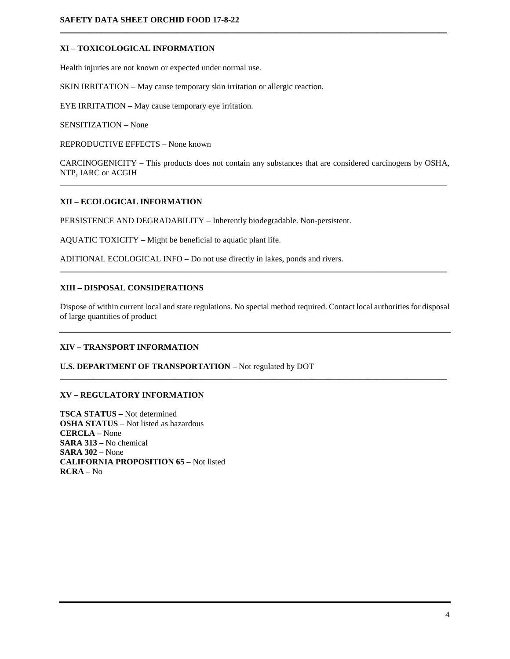# **XI – TOXICOLOGICAL INFORMATION**

Health injuries are not known or expected under normal use.

SKIN IRRITATION – May cause temporary skin irritation or allergic reaction.

EYE IRRITATION – May cause temporary eye irritation.

SENSITIZATION – None

REPRODUCTIVE EFFECTS – None known

CARCINOGENICITY – This products does not contain any substances that are considered carcinogens by OSHA, NTP, IARC or ACGIH \_\_\_\_\_\_\_\_\_\_\_\_\_\_\_\_\_\_\_\_\_\_\_\_\_\_\_\_\_\_\_\_\_\_\_\_\_\_\_\_\_\_\_\_\_\_\_\_\_\_\_\_\_\_\_\_\_\_\_\_\_\_\_\_\_\_\_\_\_\_\_\_\_\_\_\_\_\_\_\_\_\_\_\_\_\_\_\_\_\_\_\_\_

 $\mathcal{L}_\mathcal{L} = \{ \mathcal{L}_\mathcal{L} = \{ \mathcal{L}_\mathcal{L} = \{ \mathcal{L}_\mathcal{L} = \{ \mathcal{L}_\mathcal{L} = \{ \mathcal{L}_\mathcal{L} = \{ \mathcal{L}_\mathcal{L} = \{ \mathcal{L}_\mathcal{L} = \{ \mathcal{L}_\mathcal{L} = \{ \mathcal{L}_\mathcal{L} = \{ \mathcal{L}_\mathcal{L} = \{ \mathcal{L}_\mathcal{L} = \{ \mathcal{L}_\mathcal{L} = \{ \mathcal{L}_\mathcal{L} = \{ \mathcal{L}_\mathcal{$ 

# **XII – ECOLOGICAL INFORMATION**

PERSISTENCE AND DEGRADABILITY – Inherently biodegradable. Non-persistent.

AQUATIC TOXICITY – Might be beneficial to aquatic plant life.

ADITIONAL ECOLOGICAL INFO – Do not use directly in lakes, ponds and rivers.

#### **XIII – DISPOSAL CONSIDERATIONS**

Dispose of within current local and state regulations. No special method required. Contact local authorities for disposal of large quantities of product

\_\_\_\_\_\_\_\_\_\_\_\_\_\_\_\_\_\_\_\_\_\_\_\_\_\_\_\_\_\_\_\_\_\_\_\_\_\_\_\_\_\_\_\_\_\_\_\_\_\_\_\_\_\_\_\_\_\_\_\_\_\_\_\_\_\_\_\_\_\_\_\_\_\_\_\_\_\_\_\_\_\_\_\_\_\_\_\_\_\_\_\_\_

\_\_\_\_\_\_\_\_\_\_\_\_\_\_\_\_\_\_\_\_\_\_\_\_\_\_\_\_\_\_\_\_\_\_\_\_\_\_\_\_\_\_\_\_\_\_\_\_\_\_\_\_\_\_\_\_\_\_\_\_\_\_\_\_\_\_\_\_\_\_\_\_\_\_\_\_\_\_\_\_\_\_\_\_\_\_\_\_\_\_\_\_\_

## **XIV – TRANSPORT INFORMATION**

#### **U.S. DEPARTMENT OF TRANSPORTATION –** Not regulated by DOT

## **XV – REGULATORY INFORMATION**

**TSCA STATUS –** Not determined **OSHA STATUS** – Not listed as hazardous **CERCLA –** None **SARA 313** – No chemical **SARA 302** – None **CALIFORNIA PROPOSITION 65** – Not listed **RCRA –** No